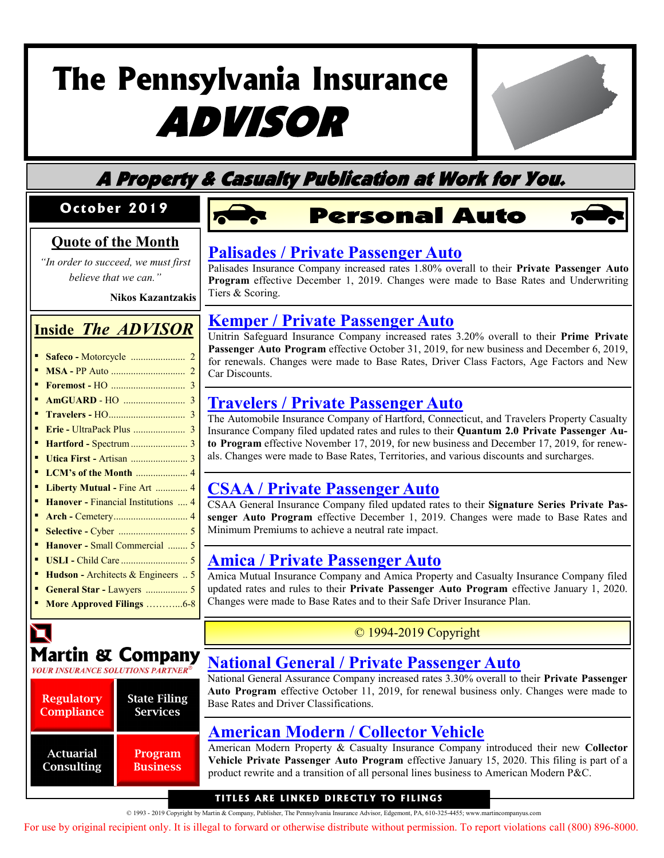

## A Property & Casualty Publication at Work for You.

#### **Oc t o b e r 2019**

#### **Quote of the Month**

*"In order to succeed, we must first believe that we can."* 

**Nikos Kazantzakis**

#### **Inside** *The ADVISOR*

- **Safeco -** Motorcycle ...................... 2
- **MSA -** PP Auto .............................. 2
- **Foremost -** HO .............................. 3
- **AmGUARD** HO ......................... 3
- **Travelers -** HO............................... 3
- **Erie -** UltraPack Plus ..................... 3
- **Hartford -** Spectrum....................... 3
- **Utica First -** Artisan ....................... 3
- **LCM's of the Month** ..................... 4
- **Liberty Mutual -** Fine Art ............. 4
- **Hanover -** Financial Institutions .... 4
- **Arch -** Cemetery.............................. 4
- **Selective -** Cyber ............................ 5 ▪ **Hanover -** Small Commercial ........ 5
- **USLI -** Child Care ........................... 5
- **Hudson -** Architects & Engineers .. 5
- **General Star -** Lawyers ................. 5
- **More Approved Filings** ………...6-8

# **Martin & Company**

**YOUR INSURANCE SOLUTIONS PARTNER** 

| <b>Regulatory</b><br><b>Compliance</b> | <b>State Filing</b><br><b>Services</b> |  |
|----------------------------------------|----------------------------------------|--|
| <b>Actuarial</b><br>Consulting         | Program<br><b>Business</b>             |  |

# **Personal Auto**



#### **[Palisades / Private Passenger Auto](http://www.filingsdirect2.com/secure/files/PAIA/2019/October/Palisades PPA PA Personal Auto rate rule 12 19 HPIC-132056418.pdf)**

Palisades Insurance Company increased rates 1.80% overall to their **Private Passenger Auto Program** effective December 1, 2019. Changes were made to Base Rates and Underwriting Tiers & Scoring.

#### **Kemper / Private Passenger Auto**

Unitrin Safeguard Insurance Company increased rates 3.20% overall to their **Prime Private Passenger Auto Program** effective October 31, 2019, for new business and December 6, 2019, [for renewals. Changes were made to Base Rates, Driver Class Factors, Age Factors and New](http://www.filingsdirect2.com/secure/files/PAIA/2019/October/Unitrin Safeguard PPA PA USIC Prime Auto 191206 rate 10 19 KEMP-132045856.pdf)  Car Discounts.

#### **Travelers / Private Passenger Auto**

[The Automobile Insurance Company of Hartford, Connecticut, and Travelers Property Casualty](http://www.filingsdirect2.com/secure/files/PAIA/2019/October/Travelers PPA Quantum Auto 2.0 rate rule 11 19 TRVD-132018075.pdf)  Insurance Company filed updated rates and rules to their **Quantum 2.0 Private Passenger Auto Program** effective November 17, 2019, for new business and December 17, 2019, for renewals. Changes were made to Base Rates, Territories, and various discounts and surcharges.

#### **[CSAA / Private Passenger Auto](http://www.filingsdirect2.com/secure/files/PAIA/2019/October/CSAA PPA PRIVATE PASSENGER AUTOMOBILE - Signature Series rate 12 19 WSUN-132048398.pdf)**

CSAA General Insurance Company filed updated rates to their **Signature Series Private Passenger Auto Program** effective December 1, 2019. Changes were made to Base Rates and Minimum Premiums to achieve a neutral rate impact.

#### **Amica / Private Passenger Auto**

[Amica Mutual Insurance Company and Amica Property and Casualty Insurance Company filed](http://www.filingsdirect2.com/secure/files/PAIA/2019/October/Amica Property and Casualty PPA PA-A-19-4-RR rate rule 1 20 AMMA-131990367.pdf)  updated rates and rules to their **Private Passenger Auto Program** effective January 1, 2020. Changes were made to Base Rates and to their Safe Driver Insurance Plan.

#### © 1994-2019 Copyright

#### **[National General / Private Passenger Auto](http://www.filingsdirect2.com/secure/files/PAIA/2019/October/National General  PPA NGAC_PPA_Rate_Rule rate rule 10 19 GMMX-132040263.pdf)**

National General Assurance Company increased rates 3.30% overall to their **Private Passenger Auto Program** effective October 11, 2019, for renewal business only. Changes were made to Base Rates and Driver Classifications.

#### **[American Modern / Collector Vehicle](http://www.filingsdirect2.com/secure/files/PAIA/2019/October/American Modern P&C PPA Collector Vehicle rate rule 1 20 AMMH-132009902.pdf)**

American Modern Property & Casualty Insurance Company introduced their new **Collector Vehicle Private Passenger Auto Program** effective January 15, 2020. This filing is part of a product rewrite and a transition of all personal lines business to American Modern P&C.

#### **TITLES ARE LINKED DIRECTLY TO FILINGS**

© 1993 - 2019 Copyright by Martin & Company, Publisher, The Pennsylvania Insurance Advisor, Edgemont, PA, 610-325-4455; www.martincompanyus.com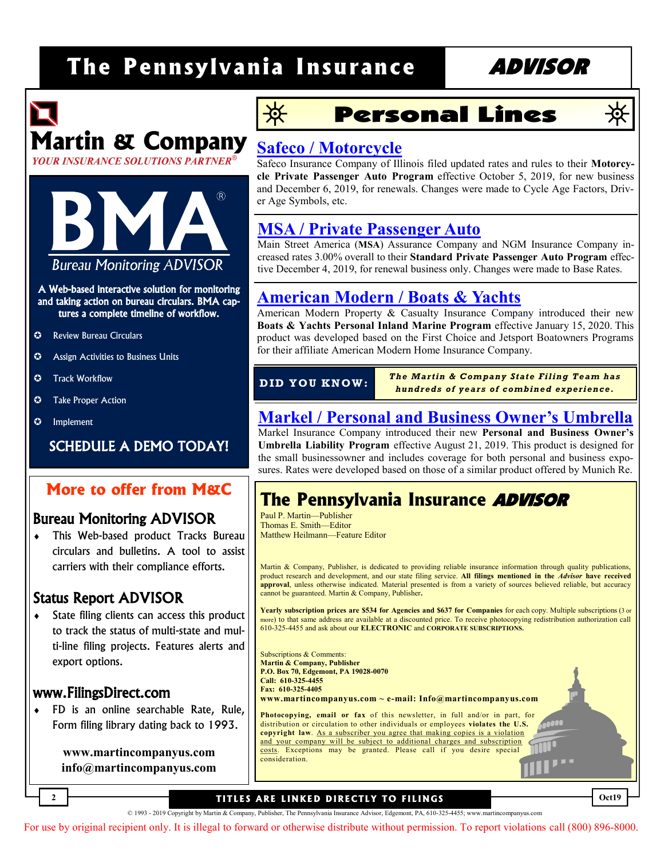# **Martin & Company**





A Web-based interactive solution for monitoring and taking action on bureau circulars. BMA captures a complete timeline of workflow.

- **C** Review Bureau Circulars
- **C** Assign Activities to Business Units
- $\odot$  Track Workflow
- **C** Take Proper Action
- $\odot$  Implement

SCHEDULE A DEMO TODAY!

#### **More to offer from M&C**

#### Bureau Monitoring ADVISOR

 This Web-based product Tracks Bureau circulars and bulletins. A tool to assist carriers with their compliance efforts.

#### Status Report ADVISOR

 State filing clients can access this product to track the status of multi-state and multi-line filing projects. Features alerts and export options.

#### www.FilingsDirect.com

**2**

 FD is an online searchable Rate, Rule, Form filing library dating back to 1993.

> **www.martincompanyus.com info@martincompanyus.com**



### **Personal Lines**

# Q

**Oct19**

#### **Safeco / Motorcycle**

Safeco Insurance Company of Illinois filed updated rates and rules to their **Motorcycle Private Passenger Auto Program** effective October 5, 2019, for new business [and December 6, 2019, for renewals. Changes were made to Cycle Age Factors, Driv](http://www.filingsdirect2.com/secure/files/PAIA/2019/October/Liberty Safeco  PPA Motorcycle Motorcycle Program rate rule 10 19 LBPM-132025877.pdf)er Age Symbols, etc.

#### **MSA / Private Passenger Auto**

Main Street America (**MSA**) Assurance Company and NGM Insurance Company increased rates 3.00% overall to their **Standard Private Passenger Auto Program** effec[tive December 4, 2019, for renewal business only. Changes were made to Base Rates.](http://www.filingsdirect2.com/secure/files/PAIA/2019/October/MSA PPA NGM Insurance Company and Main Street America Assurance Comp rate 12 19 NGMC-132064537.pdf) 

#### **[American Modern / Boats & Yachts](http://www.filingsdirect2.com/secure/files/PAIA/2019/October/American Modern P&C PIM Boatowners Watercraft rate rule 1 20 AMMH-132008567.pdf)**

American Modern Property & Casualty Insurance Company introduced their new **Boats & Yachts Personal Inland Marine Program** effective January 15, 2020. This product was developed based on the First Choice and Jetsport Boatowners Programs for their affiliate American Modern Home Insurance Company.

*The Martin & Company State Filing Team has hundreds of years of c ombined ex perience.* **D ID Y O U KN OW :**

#### **[Markel / Personal and Business Owner's Umbrella](http://www.filingsdirect2.com/secure/files/PAIA/2019/October/Markel P Umbrella Excess Personal and Business Owner)**

Markel Insurance Company introduced their new **Personal and Business Owner's Umbrella Liability Program** effective August 21, 2019. This product is designed for the small businessowner and includes coverage for both personal and business exposures. Rates were developed based on those of a similar product offered by Munich Re.

### **The Pennsylvania Insurance** ADVISOR

Paul P. Martin—Publisher Thomas E. Smith—Editor Matthew Heilmann—Feature Editor

Martin & Company, Publisher, is dedicated to providing reliable insurance information through quality publications, product research and development, and our state filing service. **All filings mentioned in the** *Advisor* **have received approval**, unless otherwise indicated. Material presented is from a variety of sources believed reliable, but accuracy cannot be guaranteed. Martin & Company, Publisher**.**

**Yearly subscription prices are \$534 for Agencies and \$637 for Companies** for each copy. Multiple subscriptions (3 or more) to that same address are available at a discounted price. To receive photocopying redistribution authorization call 610-325-4455 and ask about our **ELECTRONIC** and **CORPORATE SUBSCRIPTIONS.**

Subscriptions & Comments: **Martin & Company, Publisher P.O. Box 70, Edgemont, PA 19028-0070 Call: 610-325-4455 Fax: 610-325-4405 www.martincompanyus.com ~ e-mail: Info@martincompanyus.com**

**Photocopying, email or fax** of this newsletter, in full and/or in part, for distribution or circulation to other individuals or employees **violates the U.S. copyright law**. As a subscriber you agree that making copies is a violation and your company will be subject to additional charges and subscription costs. Exceptions may be granted. Please call if you desire special consideration.

#### **TITLES ARE LINKED DIRECTLY TO FILINGS**

© 1993 - 2019 Copyright by Martin & Company, Publisher, The Pennsylvania Insurance Advisor, Edgemont, PA, 610-325-4455; www.martincompanyus.com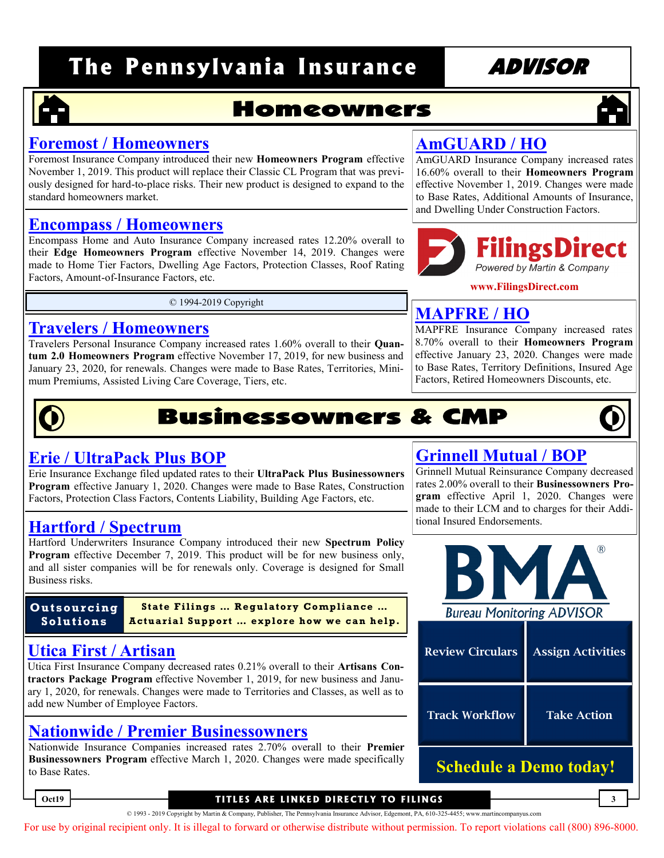### **Homeowners**

#### **Foremost / Homeowners**

Foremost Insurance Company introduced their new **Homeowners Program** effective [November 1, 2019. This product will replace their Classic CL Program that was previ](http://www.filingsdirect2.com/secure/files/PAIA/2019/October/Foremost HO  Homeowners Program rate rule 11 19 FORE-132039528.pdf)ously designed for hard-to-place risks. Their new product is designed to expand to the standard homeowners market.

#### **Encompass / Homeowners**

[Encompass Home and Auto Insurance Company increased rates 12.20% overall to](http://www.filingsdirect2.com/secure/files/PAIA/2019/October/Encompass Home and Auto HO EHAIC OTA rate rule 11 19 ALSE-132021277.pdf)  their **Edge Homeowners Program** effective November 14, 2019. Changes were made to Home Tier Factors, Dwelling Age Factors, Protection Classes, Roof Rating Factors, Amount-of-Insurance Factors, etc.

© 1994-2019 Copyright

#### **Travelers / Homeowners**

Travelers Personal Insurance Company increased rates 1.60% overall to their **Quantum 2.0 Homeowners Program** effective November 17, 2019, for new business and [January 23, 2020, for renewals. Changes were made to Base Rates, Territories, Mini](http://www.filingsdirect2.com/secure/files/PAIA/2019/October/Travelers Personal HO Quantum Homeowners 2.0 rate rule 11 19 TRVD-132025201.pdf)mum Premiums, Assisted Living Care Coverage, Tiers, etc.

# **Businessowners & CMP**

#### **Erie / UltraPack Plus BOP**

Erie Insurance Exchange filed updated rates to their **UltraPack Plus Businessowners Program** effective January 1, 2020. Changes were made to Base Rates, Construction [Factors, Protection Class Factors, Contents Liability, Building Age Factors, etc.](http://www.filingsdirect2.com/secure/files/PAIA/2019/October/Erie  BOP UPP 1-20 Rate Revision rate 1 20 ERGP-132060890.pdf) 

### tional Insured Endorsements. **Hartford / Spectrum**

Hartford Underwriters Insurance Company introduced their new **Spectrum Policy Program** effective December 7, 2019. This product will be for new business only, [and all sister companies will be for renewals only. Coverage is designed for Small](http://www.filingsdirect2.com/secure/files/PAIA/2019/October/Hartford  CMP Spectrum Hartford Underwriters rate rule 12 19 HART-132075914.pdf)  Business risks.

**Outsourcing Solutions**

State Filings ... Regulatory Compliance ... **Actuarial Support ... explore how we can help.** 

#### **Utica First / Artisan**

Utica First Insurance Company decreased rates 0.21% overall to their **Artisans Contractors Package Program** effective November 1, 2019, for new business and Janu[ary 1, 2020, for renewals. Changes were made to Territories and Classes, as well as to](http://www.filingsdirect2.com/secure/files/PAIA/2019/October/Utica First CMP Artisans rate rule 11 19 UTCA-132025928.pdf)  add new Number of Employee Factors.

#### **[Nationwide / Premier Businessowners](http://www.filingsdirect2.com/secure/files/PAIA/2019/October/Nationwide Allied BOP Businessowners rate 3 20 NWPP-132086608.pdf)**

Nationwide Insurance Companies increased rates 2.70% overall to their **Premier Businessowners Program** effective March 1, 2020. Changes were made specifically to Base Rates.

### **AmGUARD / HO**

[AmGUARD Insurance Company increased rates](http://www.filingsdirect2.com/secure/files/PAIA/2019/October/AmGuard HO Homeowners rate rule 11 19 AMGD-132014833.pdf)  16.60% overall to their **Homeowners Program**  effective November 1, 2019. Changes were made to Base Rates, Additional Amounts of Insurance, and Dwelling Under Construction Factors.



**www.FilingsDirect.com**

#### **MAPFRE / HO**

[MAPFRE Insurance Company increased rates](http://www.filingsdirect2.com/secure/files/PAIA/2019/October/MAPFRE  HO PENN Home filing effective 1 23 2020 rate 1 20 MAPF-132065447.pdf)  8.70% overall to their **Homeowners Program**  effective January 23, 2020. Changes were made to Base Rates, Territory Definitions, Insured Age Factors, Retired Homeowners Discounts, etc.

#### **[Grinnell Mutual / BOP](http://www.filingsdirect2.com/secure/files/PAIA/2019/October/Grinnell Mutual BOP Businessowners LCM rate rule 4 20 GRNX-132070951.pdf)**

Grinnell Mutual Reinsurance Company decreased rates 2.00% overall to their **Businessowners Program** effective April 1, 2020. Changes were made to their LCM and to charges for their Addi-



| <b>Review Circulars</b>       | <b>Assign Activities</b> |  |  |  |
|-------------------------------|--------------------------|--|--|--|
| <b>Track Workflow</b>         | <b>Take Action</b>       |  |  |  |
| <b>Schedule a Demo today!</b> |                          |  |  |  |

#### **Oct19 3 T IT LE S A RE L INKED D I RE CT LY TO F I L ING S**

© 1993 - 2019 Copyright by Martin & Company, Publisher, The Pennsylvania Insurance Advisor, Edgemont, PA, 610-325-4455; www.martincompanyus.com

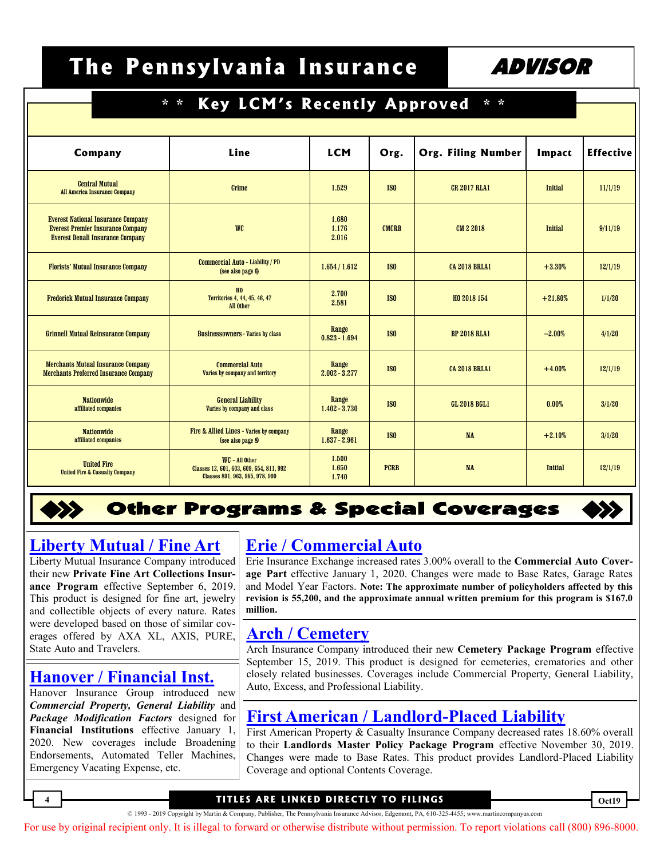| Key LCM's Recently Approved<br>$*$ *<br>$* *$                                         |                                                                             |                          |                 |                           |                |                  |
|---------------------------------------------------------------------------------------|-----------------------------------------------------------------------------|--------------------------|-----------------|---------------------------|----------------|------------------|
|                                                                                       |                                                                             |                          |                 |                           |                |                  |
| Company                                                                               | Line                                                                        | <b>LCM</b>               | Org.            | <b>Org. Filing Number</b> | Impact         | <b>Effective</b> |
| <b>Central Mutual</b><br><b>All America Insurance Company</b>                         | Crime                                                                       | 1.529                    | IS <sub>0</sub> | <b>CR 2017 RLA1</b>       | <b>Initial</b> | 11/1/19          |
| <b>Everest National Insurance Company</b><br><b>Everest Premier Insurance Company</b> | <b>WC</b>                                                                   | 1.680<br>1.176           | <b>CMCRB</b>    | CM 2 2018                 | <b>Initial</b> | 9/11/19          |
| <b>Everest Denali Insurance Company</b><br><b>Florists' Mutual Insurance Company</b>  | <b>Commercial Auto - Liability / PD</b>                                     | 2.016<br>1.654 / 1.612   | <b>ISO</b>      | <b>CA 2018 BRLA1</b>      | $+3.30%$       | 12/1/19          |
| <b>Frederick Mutual Insurance Company</b>                                             | (see also page 6)<br>H <sub>0</sub><br>Territories 4, 44, 45, 46, 47        | 2.700                    | IS <sub>0</sub> | HO 2018 154               | $+21.80%$      | 1/1/20           |
| <b>Grinnell Mutual Reinsurance Company</b>                                            | All Other<br><b>Businessowners - Varies by class</b>                        | 2.581<br>Range           | IS <sub>0</sub> | <b>BP 2018 RLA1</b>       | $-2.00%$       | 4/1/20           |
| <b>Merchants Mutual Insurance Company</b>                                             | <b>Commercial Auto</b>                                                      | $0.823 - 1.694$<br>Range |                 |                           |                |                  |
| <b>Merchants Preferred Insurance Company</b><br><b>Nationwide</b>                     | Varies by company and territory<br><b>General Liability</b>                 | $2.002 - 3.277$<br>Range | IS <sub>0</sub> | <b>CA 2018 BRLA1</b>      | $+4.00%$       | 12/1/19          |
| affiliated companies<br><b>Nationwide</b>                                             | Varies by company and class<br>Fire & Allied Lines - Varies by company      | $1.402 - 3.730$<br>Range | IS <sub>0</sub> | <b>GL 2018 BGL1</b>       | 0.00%          | 3/1/20           |
| affiliated companies<br><b>United Fire</b>                                            | (see also page 8)<br>WC - All Other                                         | $1.637 - 2.961$<br>1.500 | IS <sub>0</sub> | <b>NA</b>                 | $+2.10%$       | 3/1/20           |
| <b>United Fire &amp; Casualty Company</b>                                             | Classes 12, 601, 603, 609, 654, 811, 992<br>Classes 891, 963, 965, 978, 999 | 1.650<br>1.740           | <b>PCRB</b>     | <b>NA</b>                 | <b>Initial</b> | 12/1/19          |

#### **Other Programs & Special Coverages**

#### **[Liberty Mutual / Fine Art](http://www.filingsdirect2.com/secure/files/PAIA/2019/October/Liberty Mutual PIM Private Fine Art Collections Insurance Policy Program rate rule 9 19 PERR-132051905.pdf)**

Liberty Mutual Insurance Company introduced their new **Private Fine Art Collections Insurance Program** effective September 6, 2019. This product is designed for fine art, jewelry and collectible objects of every nature. Rates were developed based on those of similar coverages offered by AXA XL, AXIS, PURE, State Auto and Travelers.

Hanover Insurance Group introduced new *Commercial Property, General Liability* and *Package Modification Factors* designed for **Financial Institutions** effective January 1, 2020. New coverages include Broadening Endorsements, Automated Teller Machines, Emergency Vacating Expense, etc.

#### **Erie / Commercial Auto**

Erie Insurance Exchange increased rates 3.00% overall to the **Commercial Auto Coverage Part** effective January 1, 2020. Changes were made to Base Rates, Garage Rates and Model Year Factors. **Note: The approximate number of policyholders affected by this [revision is 55,200, and the approximate annual written premium for this program is \\$167.0](http://www.filingsdirect2.com/secure/files/PAIA/2019/October/Erie  C Auto CA 1-20 Rate Revision rate 1 20 ERGP-132070819.pdf)  million.** 

#### **Arch / Cemetery**

Arch Insurance Company introduced their new **Cemetery Package Program** effective September 15, 2019. This product is designed for cemeteries, crematories and other [closely related businesses. Coverages include Commercial Property, General Liability,](http://www.filingsdirect2.com/secure/files/PAIA/2019/October/Arch  Property Cemetery Insurance Program – Commercial Property form 9 19 AICO-132082017.pdf)  **[Hanover / Financial Inst.](http://www.filingsdirect2.com/secure/files/PAIA/2019/October/Hanover Property CW - Financial Institution Core Lines -CP rate rule 1 20 HNVR-132048751.pdf)** all allows a leasely related businesses. Coverages in Auto, Excess, and Professional Liability.

#### **First American / Landlord-Placed Liability**

[First American Property & Casualty Insurance Company decreased rates 18.60% overall](http://www.filingsdirect2.com/secure/files/PAIA/2019/October/First American Property & Casualty CMP CMP Liability and Non-Liability rate 11 19 PERR-132075133.pdf)  to their **Landlords Master Policy Package Program** effective November 30, 2019. Changes were made to Base Rates. This product provides Landlord-Placed Liability Coverage and optional Contents Coverage.

#### **4 Oct19 T IT LE S A RE L INKED D I RE CT LY TO F I L ING S**

© 1993 - 2019 Copyright by Martin & Company, Publisher, The Pennsylvania Insurance Advisor, Edgemont, PA, 610-325-4455; www.martincompanyus.com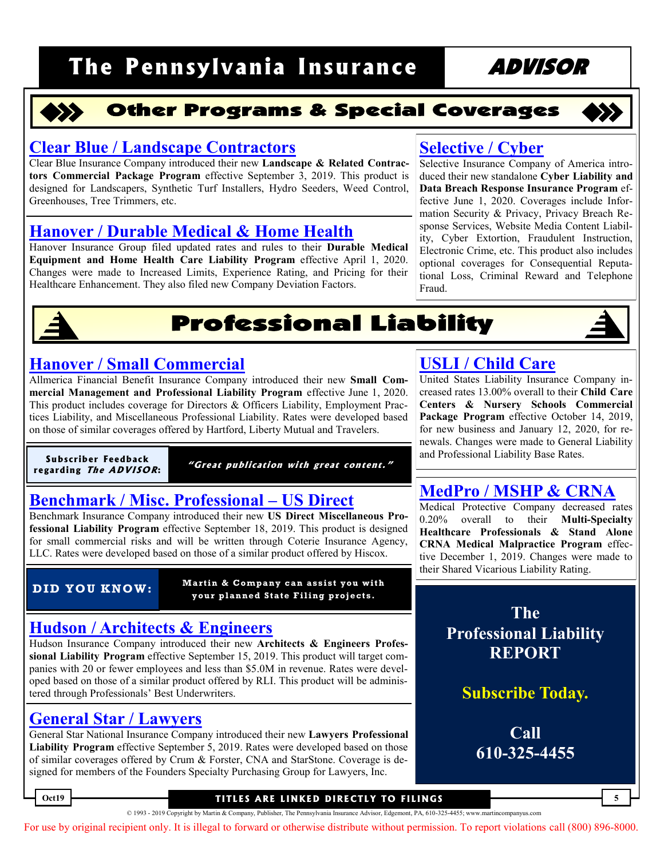

#### **Other Programs & Special Coverages**

#### **[Clear Blue / Landscape Contractors](http://www.filingsdirect2.com/secure/files/PAIA/2019/October/Clear Blue CMP Landscapers & Related Contractors rule 9 19 MRTN-131864664.pdf)**

Clear Blue Insurance Company introduced their new **Landscape & Related Contractors Commercial Package Program** effective September 3, 2019. This product is designed for Landscapers, Synthetic Turf Installers, Hydro Seeders, Weed Control, Greenhouses, Tree Trimmers, etc.

#### **[Hanover / Durable Medical & Home Health](http://www.filingsdirect2.com/secure/files/PAIA/2019/October/Hanover GL CW - Durable Medical Equipment Revision rate rule 4 20 HNVR-132061514.pdf)**

Hanover Insurance Group filed updated rates and rules to their **Durable Medical Equipment and Home Health Care Liability Program** effective April 1, 2020. Changes were made to Increased Limits, Experience Rating, and Pricing for their Healthcare Enhancement. They also filed new Company Deviation Factors.

### **Selective / Cyber**

Selective Insurance Company of America introduced their new standalone **Cyber Liability and Data Breach Response Insurance Program** effective June 1, 2020. Coverages include Information Security & Privacy, Privacy Breach Response Services, Website Media Content Liability, Cyber Extortion, Fraudulent Instruction, Electronic Crime, etc. This product also includes optional coverages for Consequential Reputa[tional Loss, Criminal Reward and Telephone](http://www.filingsdirect2.com/secure/files/PAIA/2019/October/Selective Cyber Cyber Liability and Data Breach Response Coverage rate rule 6 20 SELC-132037951.pdf)  Fraud.



## **Professional Liability**

#### **Hanover / Small Commercial**

Allmerica Financial Benefit Insurance Company introduced their new **Small Commercial Management and Professional Liability Program** effective June 1, 2020. This product includes coverage for Directors & Officers Liability, Employment Prac[tices Liability, and Miscellaneous Professional Liability. Rates were developed based](http://www.filingsdirect2.com/secure/files/PAIA/2019/October/Hanover GL CW – (GL) Small Commercial Product rate rule 6 20 HNVR-131972108.pdf)  on those of similar coverages offered by Hartford, Liberty Mutual and Travelers.

**Subscriber Feedback r e ga rdi ng Th <sup>e</sup> ADV I SO R:**

"Great publication with great content."

#### **[Benchmark / Misc. Professional –](http://www.filingsdirect2.com/secure/files/PAIA/2019/October/Benchmark PL Benchmark PL rate rule 9 19 CIAI-132055561.pdf) US Direct**

Benchmark Insurance Company introduced their new **US Direct Miscellaneous Professional Liability Program** effective September 18, 2019. This product is designed for small commercial risks and will be written through Coterie Insurance Agency, LLC. Rates were developed based on those of a similar product offered by Hiscox.

**Martin & Company can assist you with your planned S tate Filing projects. DID YOU KNOW:**

#### **[Hudson / Architects & Engineers](http://www.filingsdirect2.com/secure/files/PAIA/2019/October/Hudson PL Other Liability A&E rate rule 9 19 HINC-131946040.pdf)**

Hudson Insurance Company introduced their new **Architects & Engineers Professional Liability Program** effective September 15, 2019. This product will target companies with 20 or fewer employees and less than \$5.0M in revenue. Rates were developed based on those of a similar product offered by RLI. This product will be administered through Professionals' Best Underwriters.

#### **General Star / Lawyers**

General Star National Insurance Company introduced their new **Lawyers Professional Liability Program** effective September 5, 2019. Rates were developed based on those [of similar coverages offered by Crum & Forster, CNA and StarStone. Coverage is de](http://www.filingsdirect2.com/secure/files/PAIA/2019/October/Berkshire Hathaway General Star PL 2019 Lawyers Professional Liability Program - RPG rate rule 9 19 GNST-132039172.pdf)signed for members of the Founders Specialty Purchasing Group for Lawyers, Inc.

### **[USLI / Child Care](http://www.filingsdirect2.com/secure/files/PAIA/2019/October/USLI CMP Child Care rate rule 10 19 USLI-132071440.pdf)**

United States Liability Insurance Company increased rates 13.00% overall to their **Child Care Centers & Nursery Schools Commercial Package Program** effective October 14, 2019, for new business and January 12, 2020, for renewals. Changes were made to General Liability and Professional Liability Base Rates.

#### **[MedPro / MSHP & CRNA](http://www.filingsdirect2.com/secure/files/PAIA/2019/October/Med Pro  Med Mal Multi-Specialty Healthcare Professionals (MSHP) and Certifie rate rule 12 19 MDPC-132046872.pdf)**

Medical Protective Company decreased rates 0.20% overall to their **Multi-Specialty Healthcare Professionals & Stand Alone CRNA Medical Malpractice Program** effective December 1, 2019. Changes were made to their Shared Vicarious Liability Rating.

> **The Professional Liability REPORT**

> > **Subscribe Today.**

**Call 610-325-4455**

#### **Oct19 5 T IT LE S A RE L INKED D I RE CT LY TO F I L ING S**

© 1993 - 2019 Copyright by Martin & Company, Publisher, The Pennsylvania Insurance Advisor, Edgemont, PA, 610-325-4455; www.martincompanyus.com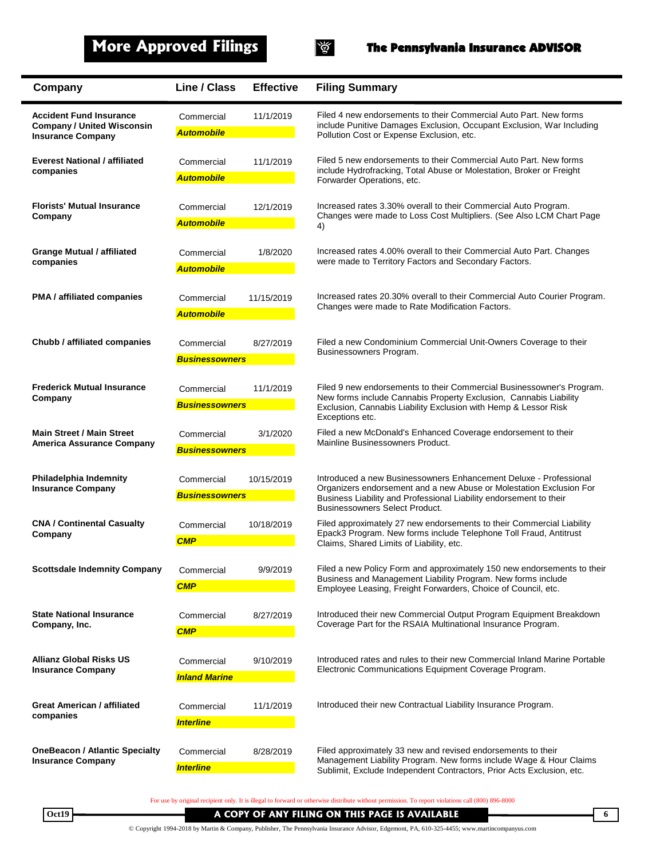

### **More Approved Filings The Pennsylvania Insurance ADVISOR**

| Company                                                                                         | <b>Line / Class</b>                 | <b>Effective</b> | <b>Filing Summary</b>                                                                                                                                                                                                                                   |
|-------------------------------------------------------------------------------------------------|-------------------------------------|------------------|---------------------------------------------------------------------------------------------------------------------------------------------------------------------------------------------------------------------------------------------------------|
| <b>Accident Fund Insurance</b><br><b>Company / United Wisconsin</b><br><b>Insurance Company</b> | Commercial<br><b>Automobile</b>     | 11/1/2019        | Filed 4 new endorsements to their Commercial Auto Part. New forms<br>include Punitive Damages Exclusion, Occupant Exclusion, War Including<br>Pollution Cost or Expense Exclusion, etc.                                                                 |
| <b>Everest National / affiliated</b><br>companies                                               | Commercial<br><b>Automobile</b>     | 11/1/2019        | Filed 5 new endorsements to their Commercial Auto Part. New forms<br>include Hydrofracking, Total Abuse or Molestation, Broker or Freight<br>Forwarder Operations, etc.                                                                                 |
| <b>Florists' Mutual Insurance</b><br>Company                                                    | Commercial<br><b>Automobile</b>     | 12/1/2019        | Increased rates 3.30% overall to their Commercial Auto Program.<br>Changes were made to Loss Cost Multipliers. (See Also LCM Chart Page<br>4)                                                                                                           |
| <b>Grange Mutual / affiliated</b><br>companies                                                  | Commercial<br><b>Automobile</b>     | 1/8/2020         | Increased rates 4.00% overall to their Commercial Auto Part. Changes<br>were made to Territory Factors and Secondary Factors.                                                                                                                           |
| <b>PMA</b> / affiliated companies                                                               | Commercial<br><b>Automobile</b>     | 11/15/2019       | Increased rates 20.30% overall to their Commercial Auto Courier Program.<br>Changes were made to Rate Modification Factors.                                                                                                                             |
| Chubb / affiliated companies                                                                    | Commercial<br><b>Businessowners</b> | 8/27/2019        | Filed a new Condominium Commercial Unit-Owners Coverage to their<br>Businessowners Program.                                                                                                                                                             |
| <b>Frederick Mutual Insurance</b><br>Company                                                    | Commercial<br><b>Businessowners</b> | 11/1/2019        | Filed 9 new endorsements to their Commercial Businessowner's Program.<br>New forms include Cannabis Property Exclusion, Cannabis Liability<br>Exclusion, Cannabis Liability Exclusion with Hemp & Lessor Risk<br>Exceptions etc.                        |
| <b>Main Street / Main Street</b><br><b>America Assurance Company</b>                            | Commercial<br><b>Businessowners</b> | 3/1/2020         | Filed a new McDonald's Enhanced Coverage endorsement to their<br>Mainline Businessowners Product.                                                                                                                                                       |
| Philadelphia Indemnity<br><b>Insurance Company</b>                                              | Commercial<br><b>Businessowners</b> | 10/15/2019       | Introduced a new Businessowners Enhancement Deluxe - Professional<br>Organizers endorsement and a new Abuse or Molestation Exclusion For<br>Business Liability and Professional Liability endorsement to their<br><b>Businessowners Select Product.</b> |
| <b>CNA / Continental Casualty</b><br>Company                                                    | Commercial<br><b>CMP</b>            | 10/18/2019       | Filed approximately 27 new endorsements to their Commercial Liability<br>Epack3 Program. New forms include Telephone Toll Fraud, Antitrust<br>Claims, Shared Limits of Liability, etc.                                                                  |
| <b>Scottsdale Indemnity Company</b>                                                             | Commercial<br><b>CMP</b>            | 9/9/2019         | Filed a new Policy Form and approximately 150 new endorsements to their<br>Business and Management Liability Program. New forms include<br>Employee Leasing, Freight Forwarders, Choice of Council, etc.                                                |
| <b>State National Insurance</b><br>Company, Inc.                                                | Commercial<br><b>CMP</b>            | 8/27/2019        | Introduced their new Commercial Output Program Equipment Breakdown<br>Coverage Part for the RSAIA Multinational Insurance Program.                                                                                                                      |
| <b>Allianz Global Risks US</b><br><b>Insurance Company</b>                                      | Commercial<br><b>Inland Marine</b>  | 9/10/2019        | Introduced rates and rules to their new Commercial Inland Marine Portable<br>Electronic Communications Equipment Coverage Program.                                                                                                                      |
| <b>Great American / affiliated</b><br>companies                                                 | Commercial<br><b>Interline</b>      | 11/1/2019        | Introduced their new Contractual Liability Insurance Program.                                                                                                                                                                                           |
| <b>OneBeacon / Atlantic Specialty</b><br><b>Insurance Company</b>                               | Commercial<br><b>Interline</b>      | 8/28/2019        | Filed approximately 33 new and revised endorsements to their<br>Management Liability Program. New forms include Wage & Hour Claims<br>Sublimit, Exclude Independent Contractors, Prior Acts Exclusion, etc.                                             |

For use by original recipient only. It is illegal to forward or otherwise distribute without permission. To report violations call (800) 896-8000

**Oct19 A COPY OF ANY FILING ON THIS PAGE IS AVAILABLE**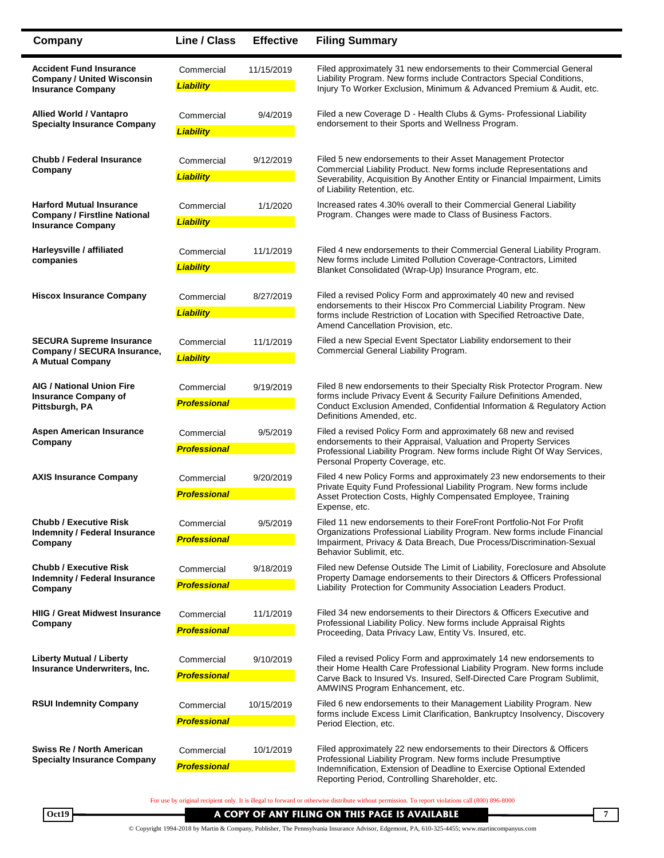| Company                                                                                            | Line / Class                      | <b>Effective</b> | <b>Filing Summary</b>                                                                                                                                                                                                                                             |
|----------------------------------------------------------------------------------------------------|-----------------------------------|------------------|-------------------------------------------------------------------------------------------------------------------------------------------------------------------------------------------------------------------------------------------------------------------|
| <b>Accident Fund Insurance</b><br><b>Company / United Wisconsin</b><br><b>Insurance Company</b>    | Commercial<br><b>Liability</b>    | 11/15/2019       | Filed approximately 31 new endorsements to their Commercial General<br>Liability Program. New forms include Contractors Special Conditions,<br>Injury To Worker Exclusion, Minimum & Advanced Premium & Audit, etc.                                               |
| <b>Allied World / Vantapro</b><br><b>Specialty Insurance Company</b>                               | Commercial<br><b>Liability</b>    | 9/4/2019         | Filed a new Coverage D - Health Clubs & Gyms- Professional Liability<br>endorsement to their Sports and Wellness Program.                                                                                                                                         |
| <b>Chubb / Federal Insurance</b><br>Company                                                        | Commercial<br><b>Liability</b>    | 9/12/2019        | Filed 5 new endorsements to their Asset Management Protector<br>Commercial Liability Product. New forms include Representations and<br>Severability, Acquisition By Another Entity or Financial Impairment, Limits<br>of Liability Retention, etc.                |
| <b>Harford Mutual Insurance</b><br><b>Company / Firstline National</b><br><b>Insurance Company</b> | Commercial<br><b>Liability</b>    | 1/1/2020         | Increased rates 4.30% overall to their Commercial General Liability<br>Program. Changes were made to Class of Business Factors.                                                                                                                                   |
| Harleysville / affiliated<br>companies                                                             | Commercial<br><b>Liability</b>    | 11/1/2019        | Filed 4 new endorsements to their Commercial General Liability Program.<br>New forms include Limited Pollution Coverage-Contractors, Limited<br>Blanket Consolidated (Wrap-Up) Insurance Program, etc.                                                            |
| <b>Hiscox Insurance Company</b>                                                                    | Commercial<br><b>Liability</b>    | 8/27/2019        | Filed a revised Policy Form and approximately 40 new and revised<br>endorsements to their Hiscox Pro Commercial Liability Program. New<br>forms include Restriction of Location with Specified Retroactive Date,<br>Amend Cancellation Provision, etc.            |
| <b>SECURA Supreme Insurance</b><br>Company / SECURA Insurance,<br><b>A Mutual Company</b>          | Commercial<br><b>Liability</b>    | 11/1/2019        | Filed a new Special Event Spectator Liability endorsement to their<br>Commercial General Liability Program.                                                                                                                                                       |
| <b>AIG / National Union Fire</b><br><b>Insurance Company of</b><br>Pittsburgh, PA                  | Commercial<br><b>Professional</b> | 9/19/2019        | Filed 8 new endorsements to their Specialty Risk Protector Program. New<br>forms include Privacy Event & Security Failure Definitions Amended,<br>Conduct Exclusion Amended, Confidential Information & Regulatory Action<br>Definitions Amended, etc.            |
| <b>Aspen American Insurance</b><br>Company                                                         | Commercial<br><b>Professional</b> | 9/5/2019         | Filed a revised Policy Form and approximately 68 new and revised<br>endorsements to their Appraisal, Valuation and Property Services<br>Professional Liability Program. New forms include Right Of Way Services,<br>Personal Property Coverage, etc.              |
| <b>AXIS Insurance Company</b>                                                                      | Commercial<br><b>Professional</b> | 9/20/2019        | Filed 4 new Policy Forms and approximately 23 new endorsements to their<br>Private Equity Fund Professional Liability Program. New forms include<br>Asset Protection Costs, Highly Compensated Employee, Training<br>Expense, etc.                                |
| <b>Chubb / Executive Risk</b><br><b>Indemnity / Federal Insurance</b><br>Company                   | Commercial<br><b>Professional</b> | 9/5/2019         | Filed 11 new endorsements to their ForeFront Portfolio-Not For Profit<br>Organizations Professional Liability Program. New forms include Financial<br>Impairment, Privacy & Data Breach, Due Process/Discrimination-Sexual<br>Behavior Sublimit, etc.             |
| <b>Chubb / Executive Risk</b><br><b>Indemnity / Federal Insurance</b><br>Company                   | Commercial<br><b>Professional</b> | 9/18/2019        | Filed new Defense Outside The Limit of Liability, Foreclosure and Absolute<br>Property Damage endorsements to their Directors & Officers Professional<br>Liability Protection for Community Association Leaders Product.                                          |
| <b>HIIG / Great Midwest Insurance</b><br>Company                                                   | Commercial<br><b>Professional</b> | 11/1/2019        | Filed 34 new endorsements to their Directors & Officers Executive and<br>Professional Liability Policy. New forms include Appraisal Rights<br>Proceeding, Data Privacy Law, Entity Vs. Insured, etc.                                                              |
| <b>Liberty Mutual / Liberty</b><br>Insurance Underwriters, Inc.                                    | Commercial<br><b>Professional</b> | 9/10/2019        | Filed a revised Policy Form and approximately 14 new endorsements to<br>their Home Health Care Professional Liability Program. New forms include<br>Carve Back to Insured Vs. Insured, Self-Directed Care Program Sublimit,                                       |
| <b>RSUI Indemnity Company</b>                                                                      | Commercial<br><b>Professional</b> | 10/15/2019       | AMWINS Program Enhancement, etc.<br>Filed 6 new endorsements to their Management Liability Program. New<br>forms include Excess Limit Clarification, Bankruptcy Insolvency, Discovery<br>Period Election, etc.                                                    |
| Swiss Re / North American<br><b>Specialty Insurance Company</b>                                    | Commercial<br><b>Professional</b> | 10/1/2019        | Filed approximately 22 new endorsements to their Directors & Officers<br>Professional Liability Program. New forms include Presumptive<br>Indemnification, Extension of Deadline to Exercise Optional Extended<br>Reporting Period, Controlling Shareholder, etc. |

For use by original recipient only. It is illegal to forward or otherwise distribute without permission. To report violations call (800) 896-8000

© Copyright 1994-2018 by Martin & Company, Publisher, The Pennsylvania Insurance Advisor, Edgemont, PA, 610-325-4455; www.martincompanyus.com